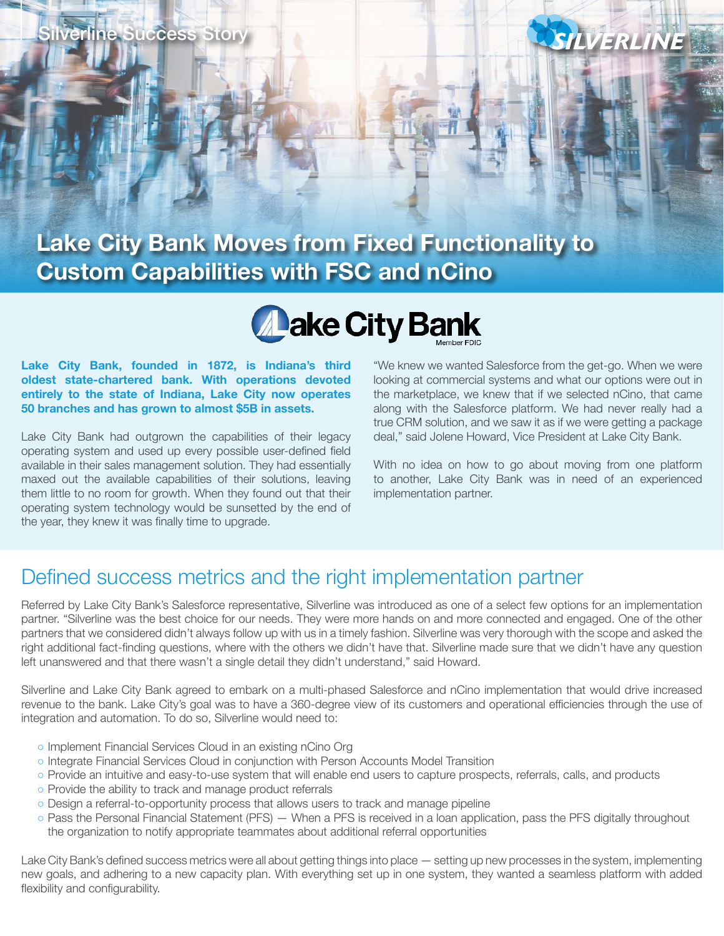

## SILVERLINE

### **Lake City Bank Moves from Fixed Functionality to Custom Capabilities with FSC and nCino**

# **Aake City Bank**

**Lake City Bank, founded in 1872, is Indiana's third oldest state-chartered bank. With operations devoted entirely to the state of Indiana, Lake City now operates 50 branches and has grown to almost \$5B in assets.**

Lake City Bank had outgrown the capabilities of their legacy operating system and used up every possible user-defined field available in their sales management solution. They had essentially maxed out the available capabilities of their solutions, leaving them little to no room for growth. When they found out that their operating system technology would be sunsetted by the end of the year, they knew it was finally time to upgrade.

"We knew we wanted Salesforce from the get-go. When we were looking at commercial systems and what our options were out in the marketplace, we knew that if we selected nCino, that came along with the Salesforce platform. We had never really had a true CRM solution, and we saw it as if we were getting a package deal," said Jolene Howard, Vice President at Lake City Bank.

With no idea on how to go about moving from one platform to another, Lake City Bank was in need of an experienced implementation partner.

#### Defined success metrics and the right implementation partner

Referred by Lake City Bank's Salesforce representative, Silverline was introduced as one of a select few options for an implementation partner. "Silverline was the best choice for our needs. They were more hands on and more connected and engaged. One of the other partners that we considered didn't always follow up with us in a timely fashion. Silverline was very thorough with the scope and asked the right additional fact-finding questions, where with the others we didn't have that. Silverline made sure that we didn't have any question left unanswered and that there wasn't a single detail they didn't understand," said Howard.

Silverline and Lake City Bank agreed to embark on a multi-phased Salesforce and nCino implementation that would drive increased revenue to the bank. Lake City's goal was to have a 360-degree view of its customers and operational efficiencies through the use of integration and automation. To do so, Silverline would need to:

- o Implement Financial Services Cloud in an existing nCino Org
- Integrate Financial Services Cloud in conjunction with Person Accounts Model Transition
- Provide an intuitive and easy-to-use system that will enable end users to capture prospects, referrals, calls, and products
- Provide the ability to track and manage product referrals
- Design a referral-to-opportunity process that allows users to track and manage pipeline
- Pass the Personal Financial Statement (PFS) When a PFS is received in a loan application, pass the PFS digitally throughout the organization to notify appropriate teammates about additional referral opportunities

Lake City Bank's defined success metrics were all about getting things into place — setting up new processes in the system, implementing new goals, and adhering to a new capacity plan. With everything set up in one system, they wanted a seamless platform with added flexibility and configurability.